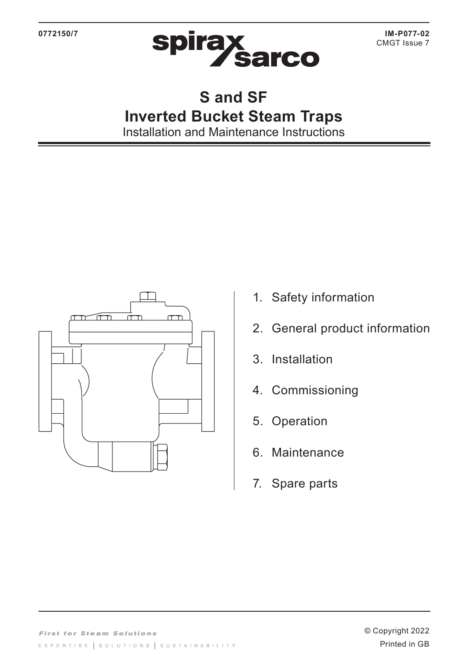

## **S and SF Inverted Bucket Steam Traps** Installation and Maintenance Instructions

- 1. Safety information
- 2. General product information
- 3. Installation
- 4. Commissioning
- 5. Operation
- 6. Maintenance
- 7. Spare parts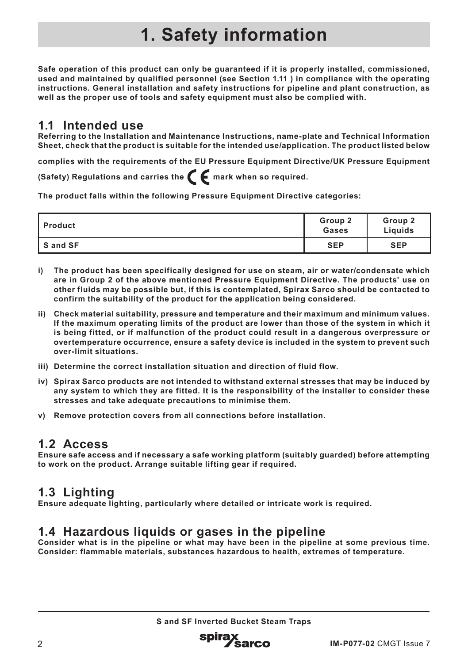# **1. Safety information**

**Safe operation of this product can only be guaranteed if it is properly installed, commissioned, used and maintained by qualified personnel (see Section 1.11 ) in compliance with the operating instructions. General installation and safety instructions for pipeline and plant construction, as well as the proper use of tools and safety equipment must also be complied with.**

## **1.1 Intended use**

**Referring to the Installation and Maintenance Instructions, name-plate and Technical Information Sheet, check that the product is suitable for the intended use/application. The product listed below** 

**complies with the requirements of the EU Pressure Equipment Directive/UK Pressure Equipment (Safety) Regulations and carries the**  $\epsilon$  **mark when so required.** 

**The product falls within the following Pressure Equipment Directive categories:**

| l Product | Group 2<br>Gases | Group 2<br>Liquids |
|-----------|------------------|--------------------|
| IS and SF | <b>SEP</b>       | <b>SEP</b>         |

- **i) The product has been specifically designed for use on steam, air or water/condensate which are in Group 2 of the above mentioned Pressure Equipment Directive. The products' use on other fluids may be possible but, if this is contemplated, Spirax Sarco should be contacted to confirm the suitability of the product for the application being considered.**
- **ii) Check material suitability, pressure and temperature and their maximum and minimum values. If the maximum operating limits of the product are lower than those of the system in which it is being fitted, or if malfunction of the product could result in a dangerous overpressure or overtemperature occurrence, ensure a safety device is included in the system to prevent such over-limit situations.**
- **iii) Determine the correct installation situation and direction of fluid flow.**
- **iv) Spirax Sarco products are not intended to withstand external stresses that may be induced by any system to which they are fitted. It is the responsibility of the installer to consider these stresses and take adequate precautions to minimise them.**
- **v) Remove protection covers from all connections before installation.**

## **1.2 Access**

**Ensure safe access and if necessary a safe working platform (suitably guarded) before attempting to work on the product. Arrange suitable lifting gear if required.**

## **1.3 Lighting**

**Ensure adequate lighting, particularly where detailed or intricate work is required.**

## **1.4 Hazardous liquids or gases in the pipeline**

**Consider what is in the pipeline or what may have been in the pipeline at some previous time. Consider: flammable materials, substances hazardous to health, extremes of temperature.**

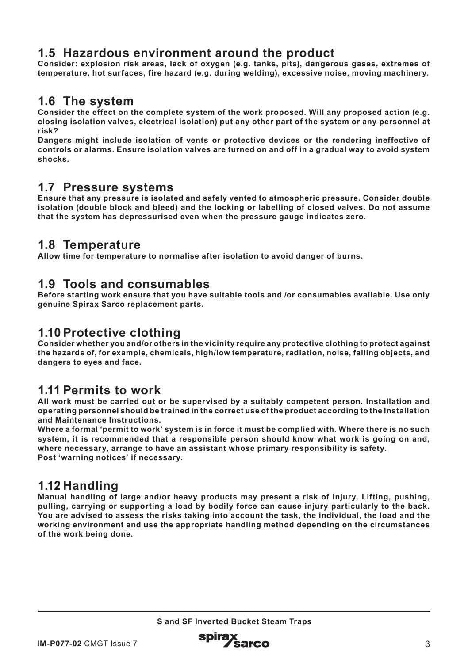## **1.5 Hazardous environment around the product**

**Consider: explosion risk areas, lack of oxygen (e.g. tanks, pits), dangerous gases, extremes of temperature, hot surfaces, fire hazard (e.g. during welding), excessive noise, moving machinery.**

## **1.6 The system**

**Consider the effect on the complete system of the work proposed. Will any proposed action (e.g. closing isolation valves, electrical isolation) put any other part of the system or any personnel at risk?**

**Dangers might include isolation of vents or protective devices or the rendering ineffective of controls or alarms. Ensure isolation valves are turned on and off in a gradual way to avoid system shocks.**

## **1.7 Pressure systems**

**Ensure that any pressure is isolated and safely vented to atmospheric pressure. Consider double isolation (double block and bleed) and the locking or labelling of closed valves. Do not assume that the system has depressurised even when the pressure gauge indicates zero.**

## **1.8 Temperature**

**Allow time for temperature to normalise after isolation to avoid danger of burns.**

## **1.9 Tools and consumables**

**Before starting work ensure that you have suitable tools and /or consumables available. Use only genuine Spirax Sarco replacement parts.**

## **1.10 Protective clothing**

**Consider whether you and/or others in the vicinity require any protective clothing to protect against the hazards of, for example, chemicals, high/low temperature, radiation, noise, falling objects, and dangers to eyes and face.**

### **1.11 Permits to work**

**All work must be carried out or be supervised by a suitably competent person. Installation and operating personnel should be trained in the correct use of the product according to the Installation and Maintenance Instructions.**

**Where a formal 'permit to work' system is in force it must be complied with. Where there is no such system, it is recommended that a responsible person should know what work is going on and, where necessary, arrange to have an assistant whose primary responsibility is safety. Post 'warning notices' if necessary.**

## **1.12 Handling**

**Manual handling of large and/or heavy products may present a risk of injury. Lifting, pushing, pulling, carrying or supporting a load by bodily force can cause injury particularly to the back. You are advised to assess the risks taking into account the task, the individual, the load and the working environment and use the appropriate handling method depending on the circumstances of the work being done.**

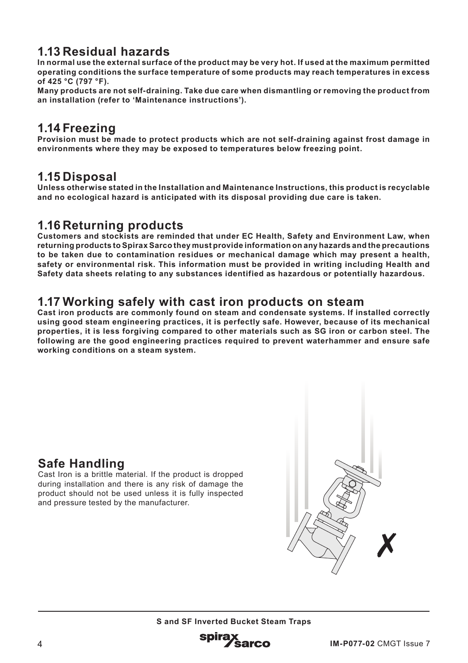## **1.13 Residual hazards**

**In normal use the external surface of the product may be very hot. If used at the maximum permitted operating conditions the surface temperature of some products may reach temperatures in excess of 425 °C (797 °F).**

**Many products are not self-draining. Take due care when dismantling or removing the product from an installation (refer to 'Maintenance instructions').**

## **1.14 Freezing**

**Provision must be made to protect products which are not self-draining against frost damage in environments where they may be exposed to temperatures below freezing point.**

### **1.15 Disposal**

**Unless otherwise stated in the Installation and Maintenance Instructions, this product is recyclable and no ecological hazard is anticipated with its disposal providing due care is taken.**

## **1.16 Returning products**

**Customers and stockists are reminded that under EC Health, Safety and Environment Law, when returning products to Spirax Sarco they must provide information on any hazards and the precautions to be taken due to contamination residues or mechanical damage which may present a health, safety or environmental risk. This information must be provided in writing including Health and Safety data sheets relating to any substances identified as hazardous or potentially hazardous.**

## **1.17 Working safely with cast iron products on steam**

**Cast iron products are commonly found on steam and condensate systems. If installed correctly using good steam engineering practices, it is perfectly safe. However, because of its mechanical properties, it is less forgiving compared to other materials such as SG iron or carbon steel. The following are the good engineering practices required to prevent waterhammer and ensure safe working conditions on a steam system.**

## **Safe Handling**

Cast Iron is a brittle material. If the product is dropped during installation and there is any risk of damage the product should not be used unless it is fully inspected and pressure tested by the manufacturer.



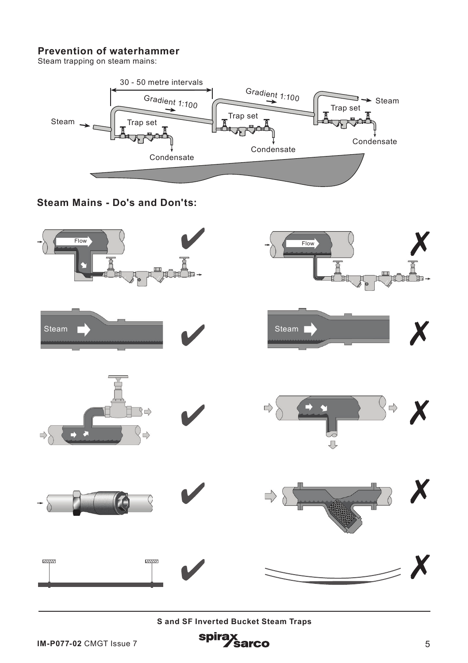#### **Prevention of waterhammer**

Steam trapping on steam mains:



**Steam Mains - Do's and Don'ts:**

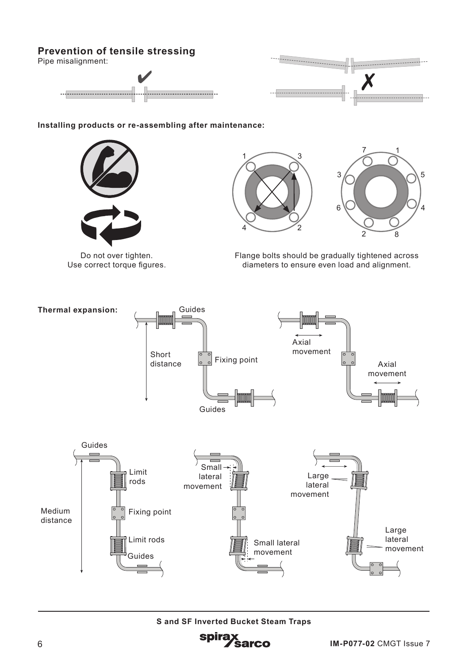### **Prevention of tensile stressing**

Pipe misalignment:





1

5

4

2 8

**Installing products or re-assembling after maintenance:**



Do not over tighten. Use correct torque figures. Flange bolts should be gradually tightened across diameters to ensure even load and alignment.

6

3

7



1

4  $\sim$  2

3

**S and SF Inverted Bucket Steam Traps**

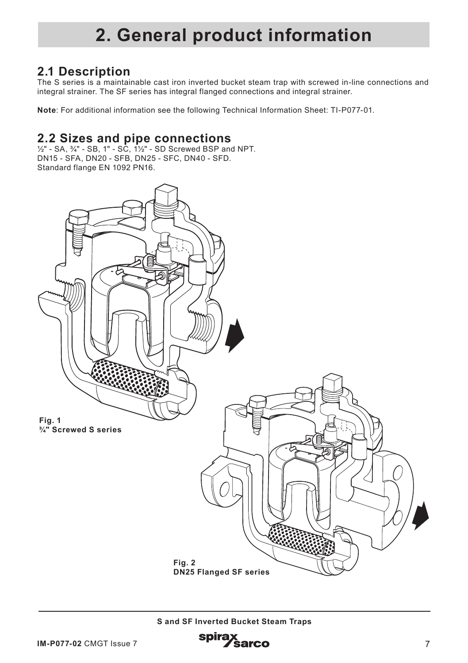## **2. General product information**

## **2.1 Description**

The S series is a maintainable cast iron inverted bucket steam trap with screwed in-line connections and integral strainer. The SF series has integral flanged connections and integral strainer.

**Note**: For additional information see the following Technical Information Sheet: TI-P077-01.

### **2.2 Sizes and pipe connections**

½" - SA, ¾" - SB, 1" - SC, 1½" - SD Screwed BSP and NPT. DN15 - SFA, DN20 - SFB, DN25 - SFC, DN40 - SFD. Standard flange EN 1092 PN16.

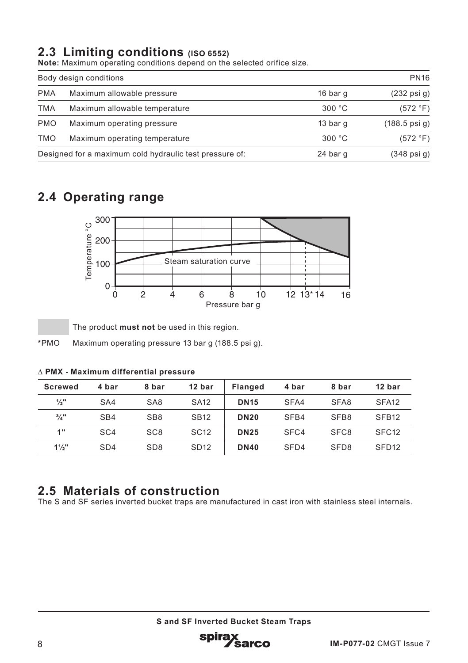## **2.3 Limiting conditions (ISO 6552)**

**Note:** Maximum operating conditions depend on the selected orifice size.

| Body design conditions                                  |                               | <b>PN16</b> |                          |
|---------------------------------------------------------|-------------------------------|-------------|--------------------------|
| <b>PMA</b>                                              | Maximum allowable pressure    | 16 bar q    | $(232 \text{ psi } q)$   |
| <b>TMA</b>                                              | Maximum allowable temperature | 300 °C      | (572 °F)                 |
| <b>PMO</b>                                              | Maximum operating pressure    | 13 bar q    | $(188.5 \text{ psi } q)$ |
| TMO                                                     | Maximum operating temperature | 300 °C      | (572 °F)                 |
| Designed for a maximum cold hydraulic test pressure of: |                               | 24 bar q    | $(348 \text{ psi } q)$   |

## **2.4 Operating range**



The product **must not** be used in this region.

**\***PMO Maximum operating pressure 13 bar g (188.5 psi g).

| <b>Screwed</b>  | 4 bar           | 8 bar           | 12 bar           | <b>Flanged</b> | 4 bar | 8 bar            | 12 bar            |
|-----------------|-----------------|-----------------|------------------|----------------|-------|------------------|-------------------|
| $\frac{1}{2}$ " | SA4             | SA <sub>8</sub> | <b>SA12</b>      | <b>DN15</b>    | SFA4  | SFA <sub>8</sub> | SFA <sub>12</sub> |
| $\frac{3}{4}$ " | SB4             | SB <sub>8</sub> | <b>SB12</b>      | <b>DN20</b>    | SFB4  | SFB <sub>8</sub> | SFB <sub>12</sub> |
| 1"              | SC <sub>4</sub> | SC <sub>8</sub> | SC <sub>12</sub> | <b>DN25</b>    | SFC4  | SFC <sub>8</sub> | SFC <sub>12</sub> |
| $1\frac{1}{2}$  | SD <sub>4</sub> | SD <sub>8</sub> | SD <sub>12</sub> | <b>DN40</b>    | SFD4  | SFD <sub>8</sub> | SFD <sub>12</sub> |

#### ∆ **PMX - Maximum differential pressure**

## **2.5 Materials of construction**

The S and SF series inverted bucket traps are manufactured in cast iron with stainless steel internals.

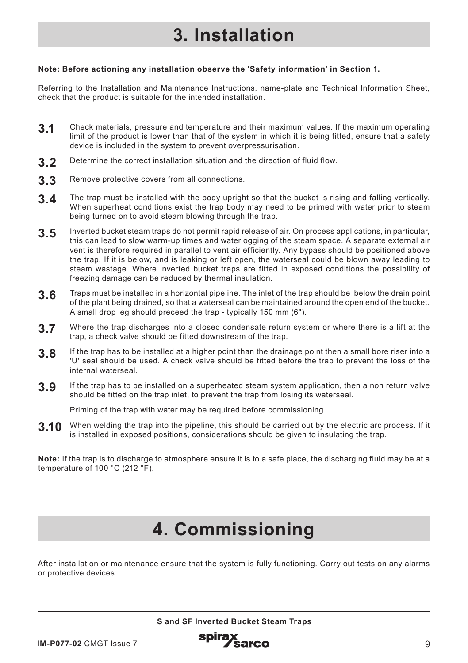# **3. Installation**

#### **Note: Before actioning any installation observe the 'Safety information' in Section 1.**

Referring to the Installation and Maintenance Instructions, name-plate and Technical Information Sheet, check that the product is suitable for the intended installation.

- **3.1** Check materials, pressure and temperature and their maximum values. If the maximum operating limit of the product is lower than that of the system in which it is being fitted, ensure that a safety device is included in the system to prevent overpressurisation.
- **3.2** Determine the correct installation situation and the direction of fluid flow.
- **3.3** Remove protective covers from all connections.
- **3.4** The trap must be installed with the body upright so that the bucket is rising and falling vertically. When superheat conditions exist the trap body may need to be primed with water prior to steam being turned on to avoid steam blowing through the trap.
- **3.5** Inverted bucket steam traps do not permit rapid release of air. On process applications, in particular, this can lead to slow warm-up times and waterlogging of the steam space. A separate external air vent is therefore required in parallel to vent air efficiently. Any bypass should be positioned above the trap. If it is below, and is leaking or left open, the waterseal could be blown away leading to steam wastage. Where inverted bucket traps are fitted in exposed conditions the possibility of freezing damage can be reduced by thermal insulation.
- **3.6** Traps must be installed in a horizontal pipeline. The inlet of the trap should be below the drain point of the plant being drained, so that a waterseal can be maintained around the open end of the bucket. A small drop leg should preceed the trap - typically 150 mm (6").
- **3.7** Where the trap discharges into a closed condensate return system or where there is a lift at the trap, a check valve should be fitted downstream of the trap.
- **3.8** If the trap has to be installed at a higher point than the drainage point then a small bore riser into a 'U' seal should be used. A check valve should be fitted before the trap to prevent the loss of the internal waterseal.
- **3.9** If the trap has to be installed on a superheated steam system application, then a non return valve should be fitted on the trap inlet, to prevent the trap from losing its waterseal.

Priming of the trap with water may be required before commissioning.

**3.10** When welding the trap into the pipeline, this should be carried out by the electric arc process. If it is installed in exposed positions, considerations should be given to insulating the trap.

**Note:** If the trap is to discharge to atmosphere ensure it is to a safe place, the discharging fluid may be at a temperature of 100 °C (212 °F).

# **4. Commissioning**

After installation or maintenance ensure that the system is fully functioning. Carry out tests on any alarms or protective devices.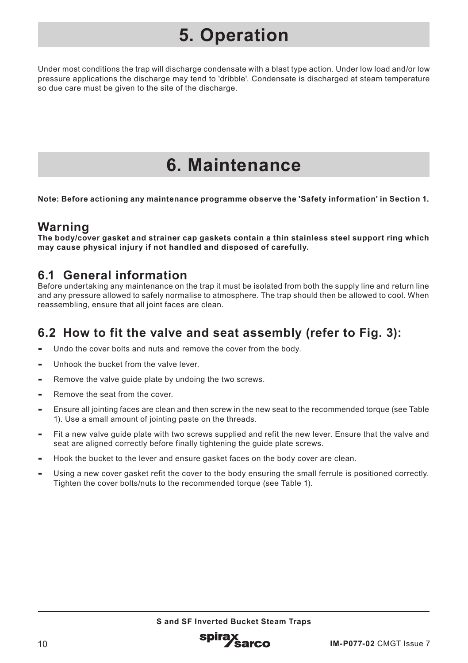# **5. Operation**

Under most conditions the trap will discharge condensate with a blast type action. Under low load and/or low pressure applications the discharge may tend to 'dribble'. Condensate is discharged at steam temperature so due care must be given to the site of the discharge.

# **6. Maintenance**

**Note: Before actioning any maintenance programme observe the 'Safety information' in Section 1.**

## **Warning**

**The body/cover gasket and strainer cap gaskets contain a thin stainless steel support ring which may cause physical injury if not handled and disposed of carefully.**

## **6.1 General information**

Before undertaking any maintenance on the trap it must be isolated from both the supply line and return line and any pressure allowed to safely normalise to atmosphere. The trap should then be allowed to cool. When reassembling, ensure that all joint faces are clean.

## **6.2 How to fit the valve and seat assembly (refer to Fig. 3):**

- **-** Undo the cover bolts and nuts and remove the cover from the body.
- **-** Unhook the bucket from the valve lever.
- **-** Remove the valve guide plate by undoing the two screws.
- **-** Remove the seat from the cover.
- **-** Ensure all jointing faces are clean and then screw in the new seat to the recommended torque (see Table 1). Use a small amount of jointing paste on the threads.
- **-** Fit a new valve guide plate with two screws supplied and refit the new lever. Ensure that the valve and seat are aligned correctly before finally tightening the guide plate screws.
- **-** Hook the bucket to the lever and ensure gasket faces on the body cover are clean.
- **-** Using a new cover gasket refit the cover to the body ensuring the small ferrule is positioned correctly. Tighten the cover bolts/nuts to the recommended torque (see Table 1).

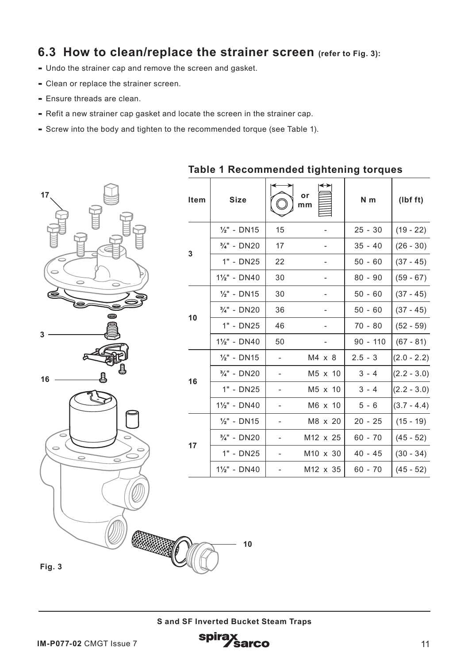## **6.3 How to clean/replace the strainer screen (refer to Fig. 3):**

- **-** Undo the strainer cap and remove the screen and gasket.
- **-** Clean or replace the strainer screen.
- **-** Ensure threads are clean.
- **-** Refit a new strainer cap gasket and locate the screen in the strainer cap.
- **-** Screw into the body and tighten to the recommended torque (see Table 1).



| rapie i Recommended agniemny torques |                           |                          |                      |            |               |  |
|--------------------------------------|---------------------------|--------------------------|----------------------|------------|---------------|--|
| Item                                 | <b>Size</b>               |                          | or<br>mm             | $N$ m      | (lbf ft)      |  |
| 3                                    | $\frac{1}{2}$ " - DN15    | 15                       |                      | $25 - 30$  | $(19 - 22)$   |  |
|                                      | $\frac{3}{4}$ " - DN20    | 17                       | ۰                    | $35 - 40$  | $(26 - 30)$   |  |
|                                      | 1" - DN25                 | 22                       |                      | $50 - 60$  | $(37 - 45)$   |  |
|                                      | $1\frac{1}{2}$ " - DN40   | 30                       |                      | $80 - 90$  | $(59 - 67)$   |  |
| 10                                   | $\frac{1}{2}$ " - DN15    | 30                       |                      | $50 - 60$  | $(37 - 45)$   |  |
|                                      | $\frac{3}{4}$ " - DN20    | 36                       |                      | $50 - 60$  | $(37 - 45)$   |  |
|                                      | 1" - DN25                 | 46                       |                      | $70 - 80$  | $(52 - 59)$   |  |
|                                      | $1\frac{1}{2}$ " - DN40   | 50                       |                      | $90 - 110$ | $(67 - 81)$   |  |
| 16                                   | $\frac{1}{2}$ " - DN15    | $\overline{\phantom{0}}$ | $M4 \times 8$        | $2.5 - 3$  | $(2.0 - 2.2)$ |  |
|                                      | $\frac{3}{4}$ " - DN20    | $\overline{\phantom{a}}$ | M5 x 10              | $3 - 4$    | $(2.2 - 3.0)$ |  |
|                                      | 1" - DN25                 | $\overline{\phantom{a}}$ | M5 x 10              | $3 - 4$    | $(2.2 - 3.0)$ |  |
|                                      | 11/ <sub>2</sub> " - DN40 | $\overline{\phantom{a}}$ | M6 x 10              | $5 - 6$    | $(3.7 - 4.4)$ |  |
| 17                                   | $\frac{1}{2}$ " - DN15    | $\overline{\phantom{a}}$ | M8 x 20              | $20 - 25$  | $(15 - 19)$   |  |
|                                      | $\frac{3}{4}$ " - DN20    | -                        | M <sub>12</sub> x 25 | $60 - 70$  | $(45 - 52)$   |  |
|                                      | 1" - DN25                 |                          | M <sub>10</sub> x 30 | $40 - 45$  | $(30 - 34)$   |  |
|                                      | $1\frac{1}{2}$ " - DN40   |                          | M12 x 35             | $60 - 70$  | $(45 - 52)$   |  |

**Table 1 Recommended tightening torques**

**Fig. 3**

**10**